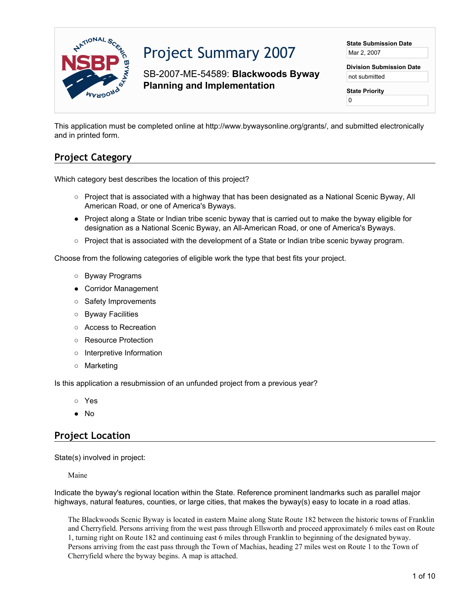

# Project Summary 2007

SB-2007-ME-54589: **Blackwoods Byway Planning and Implementation**

**State Submission Date** Mar 2, 2007

**Division Submission Date** not submitted

**State Priority** 0

This application must be completed online at http://www.bywaysonline.org/grants/, and submitted electronically and in printed form.

## **Project Category**

Which category best describes the location of this project?

- Project that is associated with a highway that has been designated as a National Scenic Byway, All American Road, or one of America's Byways.
- Project along a State or Indian tribe scenic byway that is carried out to make the byway eligible for designation as a National Scenic Byway, an All-American Road, or one of America's Byways.
- Project that is associated with the development of a State or Indian tribe scenic byway program.

Choose from the following categories of eligible work the type that best fits your project.

- Byway Programs
- Corridor Management
- Safety Improvements
- Byway Facilities
- Access to Recreation
- Resource Protection
- Interpretive Information
- Marketing

Is this application a resubmission of an unfunded project from a previous year?

- Yes
- No

## **Project Location**

State(s) involved in project:

Maine

Indicate the byway's regional location within the State. Reference prominent landmarks such as parallel major highways, natural features, counties, or large cities, that makes the byway(s) easy to locate in a road atlas.

The Blackwoods Scenic Byway is located in eastern Maine along State Route 182 between the historic towns of Franklin and Cherryfield. Persons arriving from the west pass through Ellsworth and proceed approximately 6 miles east on Route 1, turning right on Route 182 and continuing east 6 miles through Franklin to beginning of the designated byway. Persons arriving from the east pass through the Town of Machias, heading 27 miles west on Route 1 to the Town of Cherryfield where the byway begins. A map is attached.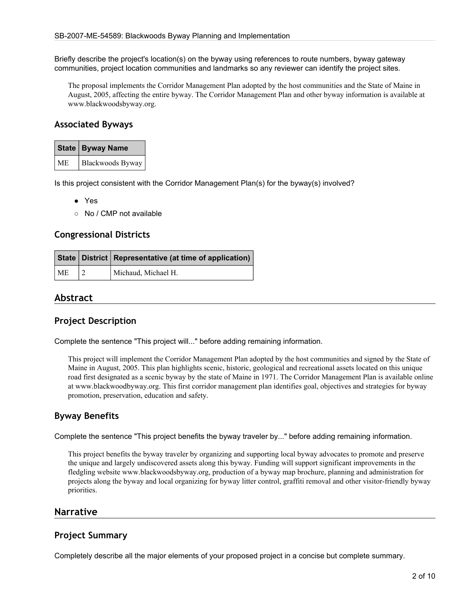Briefly describe the project's location(s) on the byway using references to route numbers, byway gateway communities, project location communities and landmarks so any reviewer can identify the project sites.

The proposal implements the Corridor Management Plan adopted by the host communities and the State of Maine in August, 2005, affecting the entire byway. The Corridor Management Plan and other byway information is available at www.blackwoodsbyway.org.

## **Associated Byways**

|           | State   Byway Name |
|-----------|--------------------|
| <b>ME</b> | Blackwoods Byway   |

Is this project consistent with the Corridor Management Plan(s) for the byway(s) involved?

- Yes
- No / CMP not available

### **Congressional Districts**

|           | State   District   Representative (at time of application) |
|-----------|------------------------------------------------------------|
| <b>ME</b> | Michaud, Michael H.                                        |

## **Abstract**

## **Project Description**

Complete the sentence "This project will..." before adding remaining information.

This project will implement the Corridor Management Plan adopted by the host communities and signed by the State of Maine in August, 2005. This plan highlights scenic, historic, geological and recreational assets located on this unique road first designated as a scenic byway by the state of Maine in 1971. The Corridor Management Plan is available online at www.blackwoodbyway.org. This first corridor management plan identifies goal, objectives and strategies for byway promotion, preservation, education and safety.

## **Byway Benefits**

Complete the sentence "This project benefits the byway traveler by..." before adding remaining information.

This project benefits the byway traveler by organizing and supporting local byway advocates to promote and preserve the unique and largely undiscovered assets along this byway. Funding will support significant improvements in the fledgling website www.blackwoodsbyway.org, production of a byway map brochure, planning and administration for projects along the byway and local organizing for byway litter control, graffiti removal and other visitor-friendly byway priorities.

#### **Narrative**

#### **Project Summary**

Completely describe all the major elements of your proposed project in a concise but complete summary.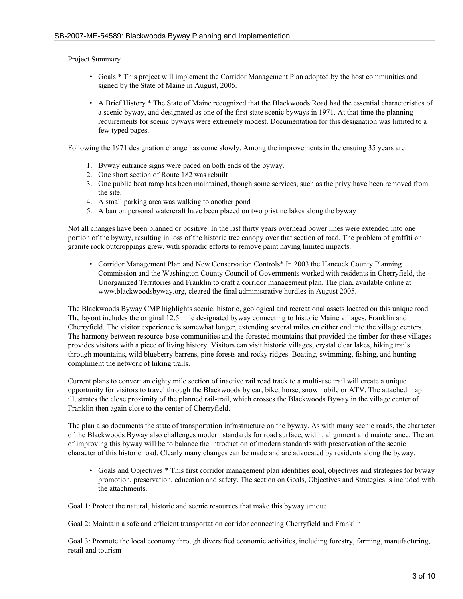Project Summary

- Goals \* This project will implement the Corridor Management Plan adopted by the host communities and signed by the State of Maine in August, 2005.
- A Brief History \* The State of Maine recognized that the Blackwoods Road had the essential characteristics of a scenic byway, and designated as one of the first state scenic byways in 1971. At that time the planning requirements for scenic byways were extremely modest. Documentation for this designation was limited to a few typed pages.

Following the 1971 designation change has come slowly. Among the improvements in the ensuing 35 years are:

- 1. Byway entrance signs were paced on both ends of the byway.
- 2. One short section of Route 182 was rebuilt
- 3. One public boat ramp has been maintained, though some services, such as the privy have been removed from the site.
- 4. A small parking area was walking to another pond
- 5. A ban on personal watercraft have been placed on two pristine lakes along the byway

Not all changes have been planned or positive. In the last thirty years overhead power lines were extended into one portion of the byway, resulting in loss of the historic tree canopy over that section of road. The problem of graffiti on granite rock outcroppings grew, with sporadic efforts to remove paint having limited impacts.

• Corridor Management Plan and New Conservation Controls\* In 2003 the Hancock County Planning Commission and the Washington County Council of Governments worked with residents in Cherryfield, the Unorganized Territories and Franklin to craft a corridor management plan. The plan, available online at www.blackwoodsbyway.org, cleared the final administrative hurdles in August 2005.

The Blackwoods Byway CMP highlights scenic, historic, geological and recreational assets located on this unique road. The layout includes the original 12.5 mile designated byway connecting to historic Maine villages, Franklin and Cherryfield. The visitor experience is somewhat longer, extending several miles on either end into the village centers. The harmony between resource-base communities and the forested mountains that provided the timber for these villages provides visitors with a piece of living history. Visitors can visit historic villages, crystal clear lakes, hiking trails through mountains, wild blueberry barrens, pine forests and rocky ridges. Boating, swimming, fishing, and hunting compliment the network of hiking trails.

Current plans to convert an eighty mile section of inactive rail road track to a multi-use trail will create a unique opportunity for visitors to travel through the Blackwoods by car, bike, horse, snowmobile or ATV. The attached map illustrates the close proximity of the planned rail-trail, which crosses the Blackwoods Byway in the village center of Franklin then again close to the center of Cherryfield.

The plan also documents the state of transportation infrastructure on the byway. As with many scenic roads, the character of the Blackwoods Byway also challenges modern standards for road surface, width, alignment and maintenance. The art of improving this byway will be to balance the introduction of modern standards with preservation of the scenic character of this historic road. Clearly many changes can be made and are advocated by residents along the byway.

• Goals and Objectives \* This first corridor management plan identifies goal, objectives and strategies for byway promotion, preservation, education and safety. The section on Goals, Objectives and Strategies is included with the attachments.

Goal 1: Protect the natural, historic and scenic resources that make this byway unique

Goal 2: Maintain a safe and efficient transportation corridor connecting Cherryfield and Franklin

Goal 3: Promote the local economy through diversified economic activities, including forestry, farming, manufacturing, retail and tourism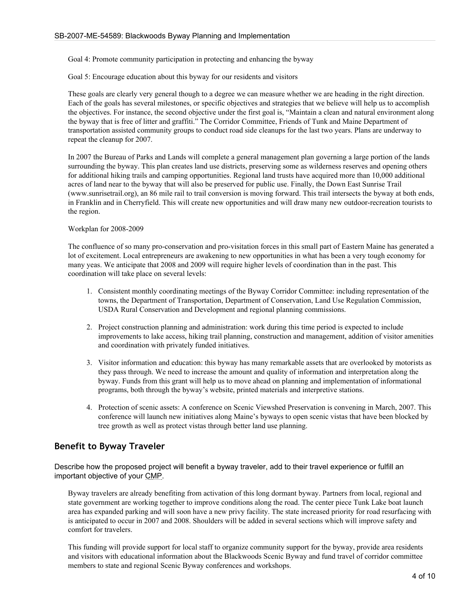Goal 4: Promote community participation in protecting and enhancing the byway

Goal 5: Encourage education about this byway for our residents and visitors

These goals are clearly very general though to a degree we can measure whether we are heading in the right direction. Each of the goals has several milestones, or specific objectives and strategies that we believe will help us to accomplish the objectives. For instance, the second objective under the first goal is, "Maintain a clean and natural environment along the byway that is free of litter and graffiti." The Corridor Committee, Friends of Tunk and Maine Department of transportation assisted community groups to conduct road side cleanups for the last two years. Plans are underway to repeat the cleanup for 2007.

In 2007 the Bureau of Parks and Lands will complete a general management plan governing a large portion of the lands surrounding the byway. This plan creates land use districts, preserving some as wilderness reserves and opening others for additional hiking trails and camping opportunities. Regional land trusts have acquired more than 10,000 additional acres of land near to the byway that will also be preserved for public use. Finally, the Down East Sunrise Trail (www.sunrisetrail.org), an 86 mile rail to trail conversion is moving forward. This trail intersects the byway at both ends, in Franklin and in Cherryfield. This will create new opportunities and will draw many new outdoor-recreation tourists to the region.

#### Workplan for 2008-2009

The confluence of so many pro-conservation and pro-visitation forces in this small part of Eastern Maine has generated a lot of excitement. Local entrepreneurs are awakening to new opportunities in what has been a very tough economy for many yeas. We anticipate that 2008 and 2009 will require higher levels of coordination than in the past. This coordination will take place on several levels:

- 1. Consistent monthly coordinating meetings of the Byway Corridor Committee: including representation of the towns, the Department of Transportation, Department of Conservation, Land Use Regulation Commission, USDA Rural Conservation and Development and regional planning commissions.
- 2. Project construction planning and administration: work during this time period is expected to include improvements to lake access, hiking trail planning, construction and management, addition of visitor amenities and coordination with privately funded initiatives.
- 3. Visitor information and education: this byway has many remarkable assets that are overlooked by motorists as they pass through. We need to increase the amount and quality of information and interpretation along the byway. Funds from this grant will help us to move ahead on planning and implementation of informational programs, both through the byway's website, printed materials and interpretive stations.
- 4. Protection of scenic assets: A conference on Scenic Viewshed Preservation is convening in March, 2007. This conference will launch new initiatives along Maine's byways to open scenic vistas that have been blocked by tree growth as well as protect vistas through better land use planning.

## **Benefit to Byway Traveler**

Describe how the proposed project will benefit a byway traveler, add to their travel experience or fulfill an important objective of your CMP.

Byway travelers are already benefiting from activation of this long dormant byway. Partners from local, regional and state government are working together to improve conditions along the road. The center piece Tunk Lake boat launch area has expanded parking and will soon have a new privy facility. The state increased priority for road resurfacing with is anticipated to occur in 2007 and 2008. Shoulders will be added in several sections which will improve safety and comfort for travelers.

This funding will provide support for local staff to organize community support for the byway, provide area residents and visitors with educational information about the Blackwoods Scenic Byway and fund travel of corridor committee members to state and regional Scenic Byway conferences and workshops.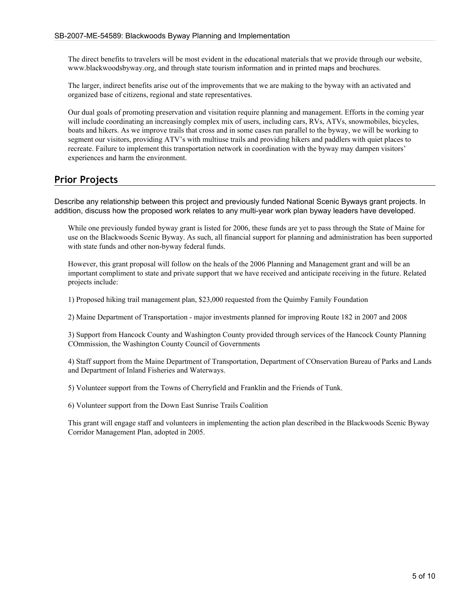The direct benefits to travelers will be most evident in the educational materials that we provide through our website, www.blackwoodsbyway.org, and through state tourism information and in printed maps and brochures.

The larger, indirect benefits arise out of the improvements that we are making to the byway with an activated and organized base of citizens, regional and state representatives.

Our dual goals of promoting preservation and visitation require planning and management. Efforts in the coming year will include coordinating an increasingly complex mix of users, including cars, RVs, ATVs, snowmobiles, bicycles, boats and hikers. As we improve trails that cross and in some cases run parallel to the byway, we will be working to segment our visitors, providing ATV's with multiuse trails and providing hikers and paddlers with quiet places to recreate. Failure to implement this transportation network in coordination with the byway may dampen visitors' experiences and harm the environment.

## **Prior Projects**

Describe any relationship between this project and previously funded National Scenic Byways grant projects. In addition, discuss how the proposed work relates to any multi-year work plan byway leaders have developed.

While one previously funded byway grant is listed for 2006, these funds are yet to pass through the State of Maine for use on the Blackwoods Scenic Byway. As such, all financial support for planning and administration has been supported with state funds and other non-byway federal funds.

However, this grant proposal will follow on the heals of the 2006 Planning and Management grant and will be an important compliment to state and private support that we have received and anticipate receiving in the future. Related projects include:

1) Proposed hiking trail management plan, \$23,000 requested from the Quimby Family Foundation

2) Maine Department of Transportation - major investments planned for improving Route 182 in 2007 and 2008

3) Support from Hancock County and Washington County provided through services of the Hancock County Planning COmmission, the Washington County Council of Governments

4) Staff support from the Maine Department of Transportation, Department of COnservation Bureau of Parks and Lands and Department of Inland Fisheries and Waterways.

5) Volunteer support from the Towns of Cherryfield and Franklin and the Friends of Tunk.

6) Volunteer support from the Down East Sunrise Trails Coalition

This grant will engage staff and volunteers in implementing the action plan described in the Blackwoods Scenic Byway Corridor Management Plan, adopted in 2005.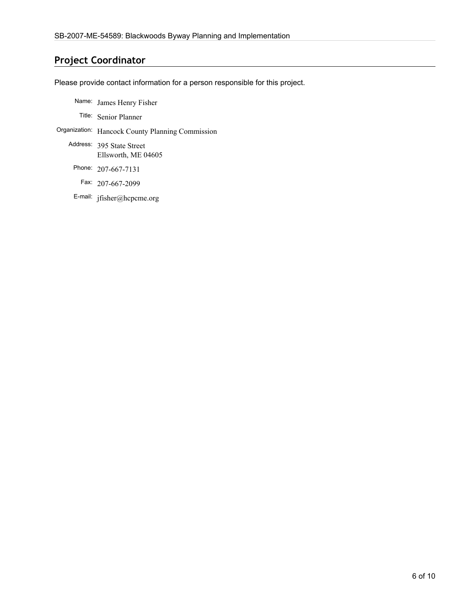## **Project Coordinator**

Please provide contact information for a person responsible for this project.

- Name: James Henry Fisher
	- Title: Senior Planner
- Organization: Hancock County Planning Commission
	- Address: 395 State Street Ellsworth, ME 04605
		- Phone: 207-667-7131
			- Fax: 207-667-2099
		- E-mail: jfisher@hcpcme.org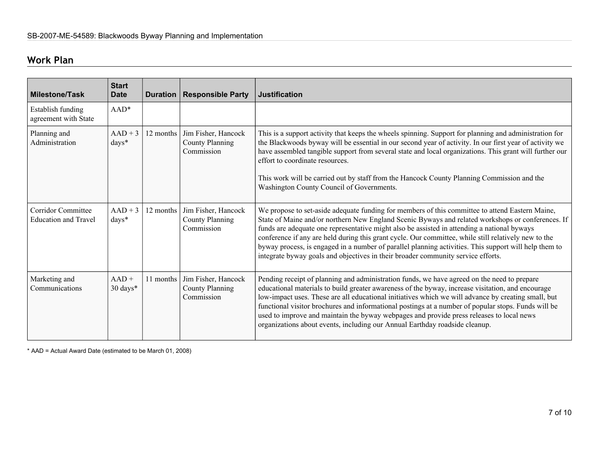## **Work Plan**

| <b>Milestone/Task</b>                                    | <b>Start</b><br><b>Date</b>    | Duration  | <b>Responsible Party</b>                                    | <b>Justification</b>                                                                                                                                                                                                                                                                                                                                                                                                                                                                                                                                                                                     |
|----------------------------------------------------------|--------------------------------|-----------|-------------------------------------------------------------|----------------------------------------------------------------------------------------------------------------------------------------------------------------------------------------------------------------------------------------------------------------------------------------------------------------------------------------------------------------------------------------------------------------------------------------------------------------------------------------------------------------------------------------------------------------------------------------------------------|
| Establish funding<br>agreement with State                | $AAD*$                         |           |                                                             |                                                                                                                                                                                                                                                                                                                                                                                                                                                                                                                                                                                                          |
| Planning and<br>Administration                           | $AAD + 3$<br>days*             | 12 months | Jim Fisher, Hancock<br><b>County Planning</b><br>Commission | This is a support activity that keeps the wheels spinning. Support for planning and administration for<br>the Blackwoods byway will be essential in our second year of activity. In our first year of activity we<br>have assembled tangible support from several state and local organizations. This grant will further our<br>effort to coordinate resources.<br>This work will be carried out by staff from the Hancock County Planning Commission and the<br>Washington County Council of Governments.                                                                                               |
| <b>Corridor Committee</b><br><b>Education and Travel</b> | $AAD + 3$<br>$\frac{days*}{x}$ | 12 months | Jim Fisher, Hancock<br><b>County Planning</b><br>Commission | We propose to set-aside adequate funding for members of this committee to attend Eastern Maine,<br>State of Maine and/or northern New England Scenic Byways and related workshops or conferences. If<br>funds are adequate one representative might also be assisted in attending a national byways<br>conference if any are held during this grant cycle. Our committee, while still relatively new to the<br>byway process, is engaged in a number of parallel planning activities. This support will help them to<br>integrate byway goals and objectives in their broader community service efforts. |
| Marketing and<br>Communications                          | $AAD +$<br>$30 \text{ days}^*$ | 11 months | Jim Fisher, Hancock<br><b>County Planning</b><br>Commission | Pending receipt of planning and administration funds, we have agreed on the need to prepare<br>educational materials to build greater awareness of the byway, increase visitation, and encourage<br>low-impact uses. These are all educational initiatives which we will advance by creating small, but<br>functional visitor brochures and informational postings at a number of popular stops. Funds will be<br>used to improve and maintain the byway webpages and provide press releases to local news<br>organizations about events, including our Annual Earthday roadside cleanup.                |

\* AAD = Actual Award Date (estimated to be March 01, 2008)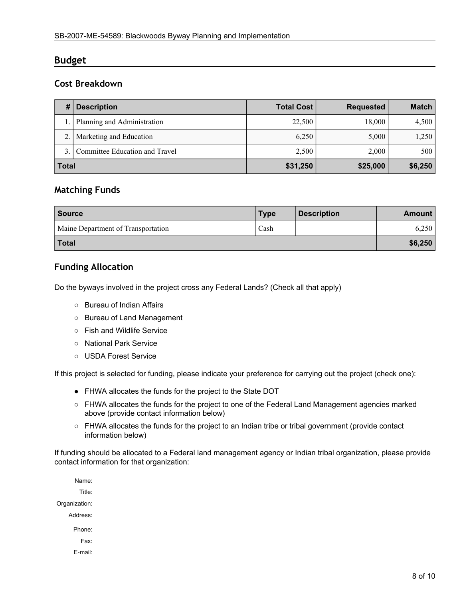## **Budget**

## **Cost Breakdown**

| #            | <b>Description</b>             | <b>Total Cost</b> | <b>Requested</b> | Match   |
|--------------|--------------------------------|-------------------|------------------|---------|
|              | Planning and Administration    | 22,500            | 18,000           | 4,500   |
|              | Marketing and Education        | 6.250             | 5,000            | 1,250   |
|              | Committee Education and Travel | 2,500             | 2,000            | 500     |
| <b>Total</b> |                                | \$31,250          | \$25,000         | \$6,250 |

## **Matching Funds**

| <b>Source</b>                      | <b>Type</b> | <b>Description</b> | Amount  |
|------------------------------------|-------------|--------------------|---------|
| Maine Department of Transportation | Cash        |                    | 6,250   |
| <b>Total</b>                       |             |                    | \$6,250 |

## **Funding Allocation**

Do the byways involved in the project cross any Federal Lands? (Check all that apply)

- Bureau of Indian Affairs
- Bureau of Land Management
- Fish and Wildlife Service
- National Park Service
- USDA Forest Service

If this project is selected for funding, please indicate your preference for carrying out the project (check one):

- FHWA allocates the funds for the project to the State DOT
- FHWA allocates the funds for the project to one of the Federal Land Management agencies marked above (provide contact information below)
- FHWA allocates the funds for the project to an Indian tribe or tribal government (provide contact information below)

If funding should be allocated to a Federal land management agency or Indian tribal organization, please provide contact information for that organization:

Name: Title: Organization: Address: Phone: Fax: E-mail: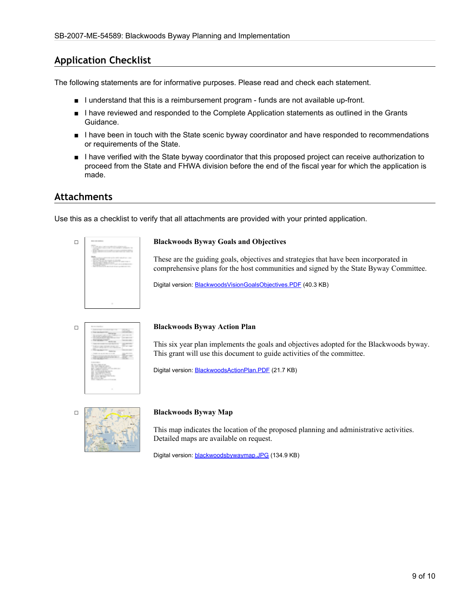## **Application Checklist**

The following statements are for informative purposes. Please read and check each statement.

- I understand that this is a reimbursement program funds are not available up-front.
- I have reviewed and responded to the Complete Application statements as outlined in the Grants Guidance.
- I have been in touch with the State scenic byway coordinator and have responded to recommendations or requirements of the State.
- I have verified with the State byway coordinator that this proposed project can receive authorization to proceed from the State and FHWA division before the end of the fiscal year for which the application is made.

## **Attachments**

Use this as a checklist to verify that all attachments are provided with your printed application.

| <b><i>BOX 100100-010</i></b>                                                                                                                                                     |
|----------------------------------------------------------------------------------------------------------------------------------------------------------------------------------|
| ٠<br>t<br><b>The State</b><br>٠<br>The property of the local<br>state of the state of the country<br>$-1$<br>_<br><b>ALL</b><br>contract in the<br>٠<br><br>m                    |
| 40<br>٠<br>۰<br>-<br>the company of a<br>٠<br>the control of the collection<br><br>dent on status of determined and<br>٠<br>Color Color<br>٠<br>Service of the control<br>-<br>۰ |
|                                                                                                                                                                                  |
|                                                                                                                                                                                  |
| <b>STATE</b>                                                                                                                                                                     |

#### □ **Blackwoods Byway Goals and Objectives**

These are the guiding goals, objectives and strategies that have been incorporated in comprehensive plans for the host communities and signed by the State Byway Committee.

Digital version: **[BlackwoodsVisionGoalsObjectives.PDF](http://www.bywaysonline.org//grants/application/attachments/6057_o89nnl20ug.PDF)** (40.3 KB)

| ٠<br>--                                                               |
|-----------------------------------------------------------------------|
| ٠<br><b>ELEVATIVE</b><br>٠<br>۰<br>×<br>٠<br>в<br><b>Calling</b><br>a |
|                                                                       |
| <b>College Card</b>                                                   |

**Blackwoods Byway Action Plan**<br>
This six year plan implements the<br>
This six year plan implements the<br>
This grant will use this document This six year plan implements the goals and objectives adopted for the Blackwoods byway. This grant will use this document to guide activities of the committee.

Digital version: [BlackwoodsActionPlan.PDF](http://www.bywaysonline.org//grants/application/attachments/6058_g5jk36ne39.PDF) (21.7 KB)

#### □ **Blackwoods Byway Map**

This map indicates the location of the proposed planning and administrative activities. Detailed maps are available on request.

Digital version: [blackwoodsbywaymap.JPG](http://www.bywaysonline.org//grants/application/attachments/6059_xt56qv6fq9.JPG) (134.9 KB)